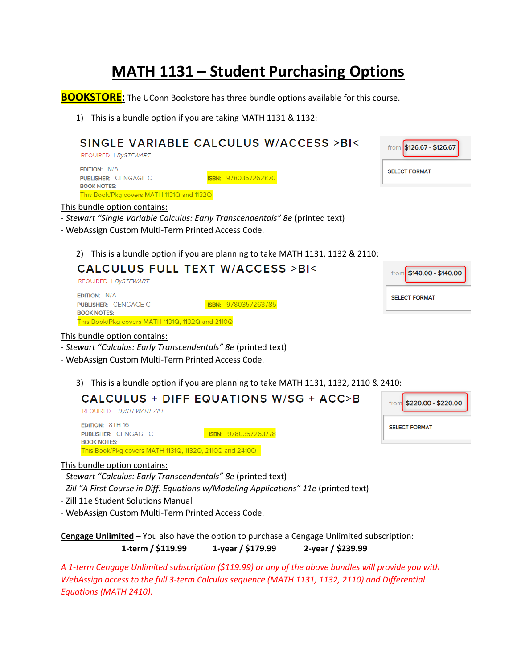## **MATH 1131 – Student Purchasing Options**

**BOOKSTORE:** The UConn Bookstore has three bundle options available for this course.

1) This is a bundle option if you are taking MATH 1131 & 1132:

## SINGLE VARIABLE CALCULUS W/ACCESS >BI< from \$126.67 - \$126.67 REQUIRED | BySTEWART **EDITION: N/A SELECT FORMAT** ISBN: 9780357262870 PUBLISHER: CENGAGE C **BOOK NOTES:** This Book/Pkg covers MATH 1131Q and 1132Q This bundle option contains: - *Stewart "Single Variable Calculus: Early Transcendentals" 8e* (printed text) - WebAssign Custom Multi-Term Printed Access Code. 2) This is a bundle option if you are planning to take MATH 1131, 1132 & 2110: **CALCULUS FULL TEXT W/ACCESS >BI<** \$140.00 - \$140.00 from REQUIRED | BySTEWART **EDITION: N/A SELECT FORMAT** PUBLISHER: CENGAGE C ISBN: 9780357263785 **BOOK NOTES:** This Book/Pkg covers MATH 1131Q, 1132Q and 2110Q This bundle option contains: - *Stewart "Calculus: Early Transcendentals" 8e* (printed text)

- WebAssign Custom Multi-Term Printed Access Code.
	- 3) This is a bundle option if you are planning to take MATH 1131, 1132, 2110 & 2410:

| CALCULUS + DIFF EQUATIONS W/SG + ACC>B<br>REQUIRED   BySTEWART ZILL         |                     | from \$220.00 - \$220.00 |
|-----------------------------------------------------------------------------|---------------------|--------------------------|
| <b>EDITION: 8TH 16</b><br><b>PUBLISHER: CENGAGE C</b><br><b>BOOK NOTES:</b> | ISBN: 9780357263778 | <b>SELECT FORMAT</b>     |
| This Book/Pkg covers MATH 1131Q, 1132Q, 2110Q and 2410Q                     |                     |                          |

## This bundle option contains:

- *Stewart "Calculus: Early Transcendentals" 8e* (printed text)
- Zill "A First Course in Diff. Equations w/Modeling Applications" 11e (printed text)
- Zill 11e Student Solutions Manual
- WebAssign Custom Multi-Term Printed Access Code.

**Cengage Unlimited** – You also have the option to purchase a Cengage Unlimited subscription: **1-term / \$119.99 1-year / \$179.99 2-year / \$239.99**

*A 1-term Cengage Unlimited subscription (\$119.99) or any of the above bundles will provide you with WebAssign access to the full 3-term Calculus sequence (MATH 1131, 1132, 2110) and Differential Equations (MATH 2410).*